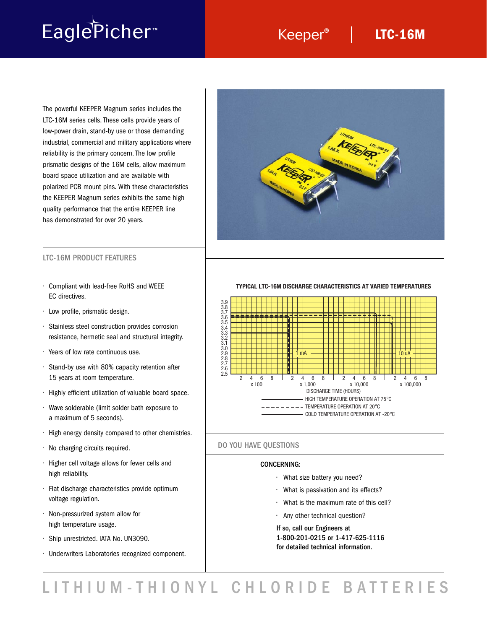# EaglePicher<sup>®</sup>

### Keeper<sup>®</sup> | LTC-16M

The powerful KEEPER Magnum series includes the LTC-16M series cells. These cells provide years of low-power drain, stand-by use or those demanding industrial, commercial and military applications where reliability is the primary concern. The low profile prismatic designs of the 16M cells, allow maximum board space utilization and are available with polarized PCB mount pins. With these characteristics the KEEPER Magnum series exhibits the same high quality performance that the entire KEEPER line has demonstrated for over 20 years.



- Compliant with lead-free RoHS and WEEE EC directives.
- Low profile, prismatic design.
- Stainless steel construction provides corrosion resistance, hermetic seal and structural integrity.
- Years of low rate continuous use.
- Stand-by use with 80% capacity retention after 15 years at room temperature.
- Highly efficient utilization of valuable board space.
- Wave solderable (limit solder bath exposure to a maximum of 5 seconds).
- High energy density compared to other chemistries.
- No charging circuits required.
- Higher cell voltage allows for fewer cells and high reliability.
- Flat discharge characteristics provide optimum voltage regulation.
- Non-pressurized system allow for high temperature usage.
- Ship unrestricted. IATA No. UN3090.
- Underwriters Laboratories recognized component.

**TYPICAL LTC-16M DISCHARGE CHARACTERISTICS AT VARIED TEMPERATURES**



### DO YOU HAVE QUESTIONS

### CONCERNING:

- What size battery you need?
- What is passivation and its effects?
- What is the maximum rate of this cell?
- Any other technical question?

If so, call our Engineers at 1-800-201-0215 or 1-417-625-1116 for detailed technical information.

LITHIUM-THIONYL CHLORIDE BATTERIES